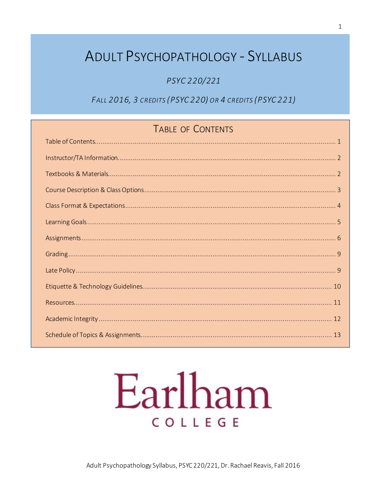## **ADULT PSYCHOPATHOLOGY - SYLLABUS**

#### PSYC 220/221

FALL 2016, 3 CREDITS (PSYC 220) OR 4 CREDITS (PSYC 221)

## TABLE OF CONTENTS

# Earlham COLLEGE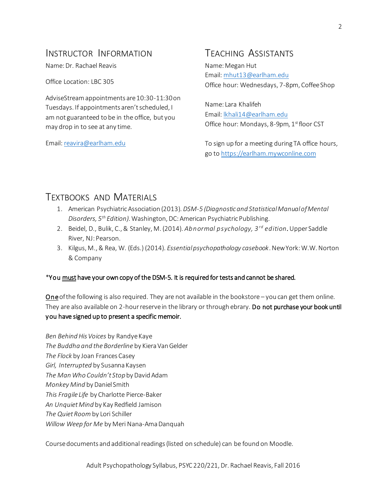### INSTRUCTOR INFORMATION

Name: Dr. Rachael Reavis

Office Location: LBC 305

AdviseStream appointments are 10:30-11:30 on Tuesdays. If appointments aren't scheduled, I am not guaranteed to be in the office, but you may drop in to see at any time.

Email[: reavira@earlham.edu](mailto:reavira@earlham.edu)

## TEACHING ASSISTANTS

Name: Megan Hut Email[: mhut13@earlham.edu](mailto:mhut13@earlham.edu) Office hour: Wednesdays, 7-8pm, Coffee Shop

Name: Lara Khalifeh Email[: lkhali14@earlham.edu](mailto:lkhali14@earlham.edu) Office hour: Mondays, 8-9pm, 1st floor CST

To sign up for a meeting during TA office hours, go t[o https://earlham.mywconline.com](https://earlham.mywconline.com/)

## TEXTBOOKS AND MATERIALS

- 1. American Psychiatric Association (2013). *DSM-5 (Diagnostic and Statistical Manual of Mental Disorders, 5th Edition)*. Washington, DC: American Psychiatric Publishing.
- 2. Beidel, D., Bulik, C., & Stanley, M. (2014). *Abnormal psychology, 3rd edition*.Upper Saddle River, NJ: Pearson.
- 3. Kilgus, M., & Rea, W. (Eds.) (2014). *Essential psychopathology casebook*. New York: W.W. Norton & Company

#### \*You must have your own copy of the DSM-5. It is required for tests and cannot be shared.

**One** of the following is also required. They are not available in the bookstore – you can get them online. They are also available on 2-hour reserve in the library or through ebrary. Do not purchase your book until you have signed up to present a specific memoir.

*Ben Behind His Voices* by Randye Kaye *The Buddha and the Borderline* by Kiera Van Gelder *The Flock* by Joan Frances Casey *Girl, Interrupted* by Susanna Kaysen *The Man Who Couldn't Stop*by David Adam *Monkey Mind* by Daniel Smith *This Fragile Life* by Charlotte Pierce-Baker *An Unquiet Mind* by Kay Redfield Jamison *The Quiet Room* by Lori Schiller *Willow Weep for Me* by Meri Nana-Ama Danquah

Course documents and additional readings (listed on schedule) can be found on Moodle.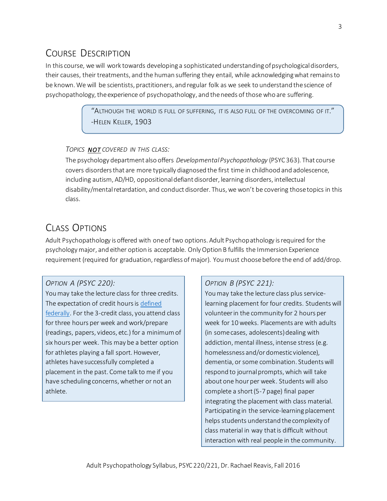## COURSE DESCRIPTION

In this course, we will work towards developing a sophisticated understanding of psychological disorders, their causes, their treatments, and the human suffering they entail, while acknowledging what remains to be known. We will be scientists, practitioners, and regular folk as we seek to understand the science of psychopathology, the experience of psychopathology, and the needs of those who are suffering.

> "ALTHOUGH THE WORLD IS FULL OF SUFFERING, IT IS ALSO FULL OF THE OVERCOMING OF IT." -HELEN KELLER, 1903

#### *TOPICS NOT COVERED IN THIS CLASS:*

The psychology department also offers *Developmental Psychopathology* (PSYC 363). That course covers disorders that are more typically diagnosed the first time in childhood and adolescence, including autism, AD/HD, oppositional defiant disorder, learning disorders, intellectual disability/mental retardation, and conduct disorder. Thus, we won't be covering those topics in this class.

## CLASS OPTIONS

Adult Psychopathology is offered with one of two options. Adult Psychopathology is required for the psychology major, and either option is acceptable. Only Option B fulfills the Immersion Experience requirement (required for graduation, regardless of major). You must choose before the end of add/drop.

#### *OPTION A (PSYC 220):*

You may take the lecture class for three credits. The expectation of credit hours is [defined](http://www.ecfr.gov/cgi-bin/text-idx?rgn=div8&node=34:3.1.3.1.1.1.23.2)  [federally.](http://www.ecfr.gov/cgi-bin/text-idx?rgn=div8&node=34:3.1.3.1.1.1.23.2) For the 3-credit class, you attend class for three hours per week and work/prepare (readings, papers, videos, etc.) for a minimum of six hours per week. This may be a better option for athletes playing a fall sport. However, athletes have successfully completed a placement in the past. Come talk to me if you have scheduling concerns, whether or not an athlete.

#### *OPTION B (PSYC 221):*

You may take the lecture class plus servicelearning placement for four credits. Students will volunteer in the community for 2 hours per week for 10weeks. Placements are with adults (in some cases, adolescents) dealing with addiction, mental illness, intense stress (e.g. homelessness and/or domestic violence), dementia, or some combination. Students will respond to journal prompts, which will take about one hour per week. Students will also complete a short (5-7 page) final paper integrating the placement with class material. Participating in the service-learning placement helps students understand the complexity of class material in way that is difficult without interaction with real people in the community.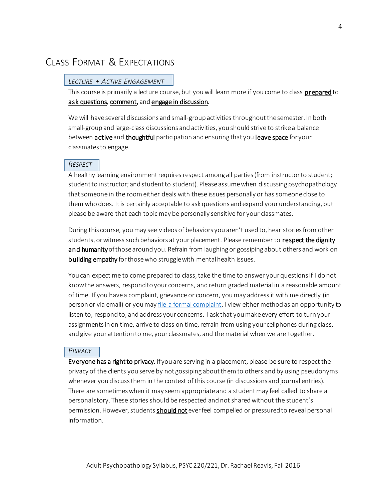## CLASS FORMAT & EXPECTATIONS

#### *LECTURE + ACTIVE ENGAGEMENT*

This course is primarily a lecture course, but you will learn more if you come to class prepared to ask questions, comment, and engage in discussion.

We will have several discussions and small-group activities throughout the semester. In both small-group and large-class discussions and activities, you should strive to strike a balance between active and thoughtful participation and ensuring that you leave space for your classmates to engage.

#### *RESPECT*

A healthy learning environment requires respect among all parties (from instructor to student; student to instructor; and student to student). Please assume when discussing psychopathology that someone in the room either deals with these issues personally or has someone close to them who does. It is certainly acceptable to ask questions and expand your understanding, but please be aware that each topic may be personally sensitive for your classmates.

During this course, you may see videos of behaviors you aren't used to, hear stories from other students, or witness such behaviors at your placement. Please remember to respect the dignity and humanity of those around you. Refrain from laughing or gossiping about others and work on **building empathy** for those who struggle with mental health issues.

You can expect me to come prepared to class, take the time to answer your questions if I do not know the answers, respond to your concerns, and return graded material in a reasonable amount of time. If you have a complaint, grievance or concern, you may address it with me directly (in person or via email) or you may *file a formal complaint*. I view either method as an opportunity to listen to, respond to, and address your concerns. I ask that you make every effort to turn your assignments in on time, arrive to class on time, refrain from using your cellphones during class, and give your attention to me, your classmates, and the material when we are together.

#### *PRIVACY*

Everyone has a right to privacy. If you are serving in a placement, please be sure to respect the privacy of the clients you serve by not gossiping about them to others and by using pseudonyms whenever you discuss them in the context of this course (in discussions and journal entries). There are sometimes when it may seem appropriate and a student may feel called to share a personal story. These stories should be respected and not shared without the student's permission. However, students should not ever feel compelled or pressured to reveal personal information.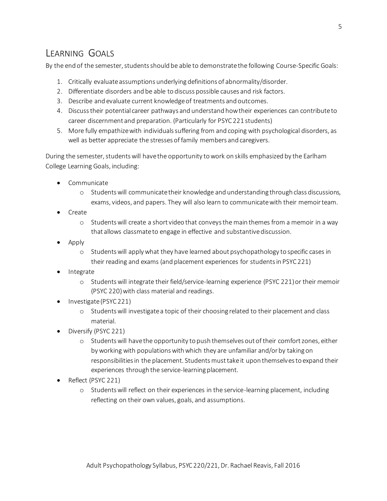## LEARNING GOALS

By the end of the semester, students should be able to demonstrate the following Course-Specific Goals:

- 1. Critically evaluate assumptions underlying definitions of abnormality/disorder.
- 2. Differentiate disorders and be able to discuss possible causes and risk factors.
- 3. Describe and evaluate current knowledge of treatments and outcomes.
- 4. Discuss their potential career pathways and understand how their experiences can contribute to career discernment and preparation. (Particularly for PSYC 221 students)
- 5. More fully empathize with individuals suffering from and coping with psychological disorders, as well as better appreciate the stresses of family members and caregivers.

During the semester, students will have the opportunity to work on skills emphasized by the Earlham College Learning Goals, including:

- Communicate
	- o Students will communicate their knowledge and understanding through class discussions, exams, videos, and papers. They will also learn to communicate with their memoir team.
- Create
	- o Students will create a short video that conveys the main themes from a memoir in a way that allows classmate to engage in effective and substantive discussion.
- Apply
	- o Students will apply what they have learned about psychopathology to specific cases in their reading and exams (and placement experiences for students in PSYC 221)
- Integrate
	- o Students will integrate their field/service-learning experience (PSYC 221) or their memoir (PSYC 220)with class material and readings.
- Investigate (PSYC 221)
	- o Students will investigate a topic of their choosing related to their placement and class material.
- Diversify (PSYC 221)
	- o Students will have the opportunity to push themselves out of their comfort zones, either by working with populations with which they are unfamiliar and/or by taking on responsibilities in the placement. Students must take it upon themselves to expand their experiences through the service-learning placement.
- Reflect (PSYC 221)
	- o Students will reflect on their experiences in the service-learning placement, including reflecting on their own values, goals, and assumptions.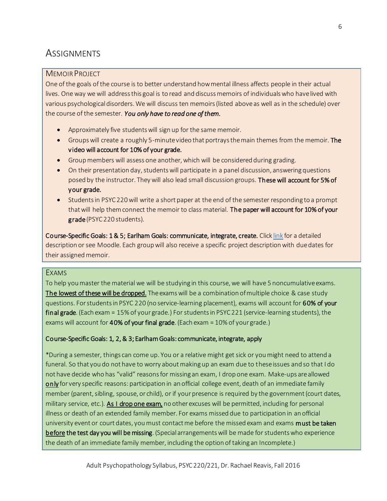## **ASSIGNMENTS**

#### MEMOIR PROJECT

One of the goals of the course is to better understand how mental illness affects people in their actual lives. One way we will address this goal is to read and discuss memoirs of individuals who have lived with various psychological disorders. We will discuss ten memoirs (listed above as well as in the schedule) over the course of the semester. *You only have to read one of them.*

- Approximately five students will sign up for the same memoir.
- Groups will create a roughly 5-minute video that portrays the main themes from the memoir. The video will account for 10% of your grade.
- Group members will assess one another, which will be considered during grading.
- On their presentation day, students will participate in a panel discussion, answering questions posed by the instructor. They will also lead small discussion groups. These will account for 5% of your grade.
- Students in PSYC 220 will write a short paper at the end of the semester responding to a prompt that will help them connect the memoir to class material. The paper will account for 10% of your grade(PSYC 220 students).

Course-Specific Goals: 1 & 5; Earlham Goals: communicate, integrate, create. Clic[k link](https://www.dropbox.com/s/tccjcfvi45k08sx/General%20Memoir%20Project%20Guidelines%20-%20COPY.docx?dl=0) for a detailed description or see Moodle. Each group will also receive a specific project description with due dates for their assigned memoir.

#### EXAMS

To help you master the material we will be studying in this course, we will have 5 noncumulative exams. The lowest of these will be dropped. The exams will be a combination of multiple choice & case study questions. For students in PSYC 220 (no service-learning placement), exams will account for 60% of your final grade. (Each exam = 15% of your grade.) For students in PSYC 221 (service-learning students), the exams will account for 40% of your final grade. (Each exam  $=$  10% of your grade.)

#### Course-Specific Goals: 1, 2, & 3; Earlham Goals: communicate, integrate, apply

\*During a semester, things can come up. You or a relative might get sick or you might need to attend a funeral. So that you do not have to worry about making up an exam due to these issues and so that I do not have decide who has "valid" reasons for missing an exam, I drop one exam. Make-ups are allowed only for very specific reasons: participation in an official college event, death of an immediate family member (parent, sibling, spouse, or child), or if your presence is required by the government (court dates, military service, etc.). As I drop one exam, no other excuses will be permitted, including for personal illness or death of an extended family member. For exams missed due to participation in an official university event or court dates, you must contact me before the missed exam and exams must be taken before the test day you will be missing. (Special arrangements will be made for students who experience the death of an immediate family member, including the option of taking an Incomplete.)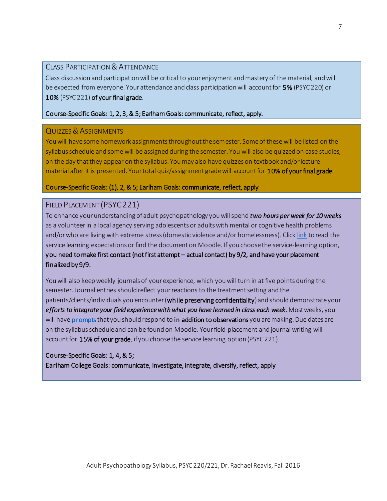#### CLASS PARTICIPATION & ATTENDANCE

Class discussion and participation will be critical to your enjoyment and mastery of the material, and will be expected from everyone. Your attendance and class participation will account for 5% (PSYC 220) or 10% (PSYC 221) of your final grade.

#### Course-Specific Goals: 1, 2, 3, & 5; Earlham Goals: communicate, reflect, apply.

#### QUIZZES & ASSIGNMENTS

You will have some homework assignments throughout the semester. Some of these will be listed on the syllabus schedule and some will be assigned during the semester. You will also be quizzed on case studies, on the day that they appear on the syllabus. You may also have quizzes on textbook and/or lecture material after it is presented. Your total quiz/assignment grade will account for 10% of your final grade.

#### Course-Specific Goals: (1), 2, & 5; Earlham Goals: communicate, reflect, apply

#### FIELD PLACEMENT (PSYC221)

To enhance your understanding of adult psychopathology you will spend *two hours per week for 10 weeks* as a volunteer in a local agency serving adolescents or adults with mental or cognitive health problems and/or who are living with extreme stress (domestic violence and/or homelessness). Click [link](https://www.dropbox.com/s/8hj6ey9i9b5vev8/Service%20Learning%20Expectations%20-%20Adult%20Psychopathology%20-%20Fall%202016%20-%20as%20of%207-22%20-%20COPY.docx?dl=0) to read the service learning expectations or find the document on Moodle. If you choose the service-learning option, you need to make first contact (not first attempt – actual contact) by 9/2, and have your placement finalized by 9/9.

You will also keep weekly journals of your experience, which you will turn in at five points during the semester. Journal entries should reflect your reactions to the treatment setting and the patients/clients/individuals you encounter (while preserving confidentiality) and should demonstrate your *efforts to integrate your field experience with what you have learned in class each week*. Most weeks, you will hav[e prompts](https://www.dropbox.com/s/e0a1f5b4zckkspm/Journal%20Entry%20Prompts%20-%202016%20-%20COPY.docx?dl=0) that you should respond to in addition to observations you are making. Due dates are on the syllabus schedule and can be found on Moodle. Your field placement and journal writing will account for 15% of your grade, if you choose the service learning option (PSYC 221).

#### Course-Specific Goals: 1, 4, & 5;

Earlham College Goals: communicate, investigate, integrate, diversify, reflect, apply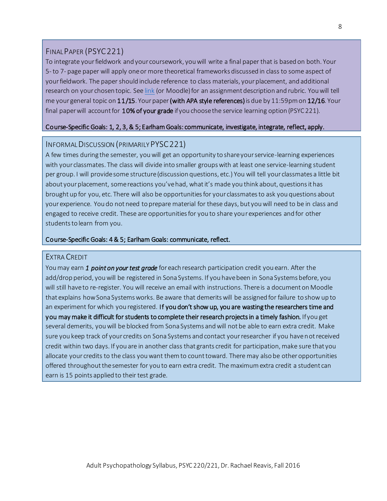#### FINAL PAPER (PSYC221)

To integrate your fieldwork and your coursework, you will write a final paper that is based on both. Your 5-to 7- page paper will apply one or more theoretical frameworks discussed in class to some aspect of your fieldwork. The paper should include reference to class materials, your placement, and additional research on your chosen topic. Se[e link](https://www.dropbox.com/s/3hy6y5n5pa21cve/Final%20Paper%20Guidelines%20%26%20Rubric%20-%20COPY.docx?dl=0) (or Moodle) for an assignment description and rubric. You will tell me your general topic on 11/15. Your paper (with APA style references) is due by 11:59pm on 12/16. Your final paper will account for 10% of your grade if you choose the service learning option (PSYC 221).

#### Course-Specific Goals: 1, 2, 3, & 5; Earlham Goals: communicate, investigate, integrate, reflect, apply.

#### INFORMAL DISCUSSION (PRIMARILY PYSC221)

A few times during the semester, you will get an opportunity to share your service-learning experiences with your classmates. The class will divide into smaller groups with at least one service-learning student per group. I will provide some structure (discussion questions, etc.) You will tell your classmates a little bit about your placement, some reactions you've had, what it's made you think about, questions it has brought up for you, etc. There will also be opportunities for your classmates to ask you questions about your experience. You do not need to prepare material for these days, but you will need to be in class and engaged to receive credit. These are opportunities for you to share yourexperiences and for other students to learn from you.

#### Course-Specific Goals: 4 & 5; Earlham Goals: communicate, reflect.

#### EXTRA CREDIT

You may earn *1 point on your test grade* for each research participation credit you earn. After the add/drop period, you will be registered in Sona Systems. If you have been in Sona Systems before, you will still have to re-register. You will receive an email with instructions. There is a document on Moodle that explains how Sona Systems works. Be aware that demerits will be assigned for failure to show up to an experiment for which you registered. If you don't show up, you are wasting the researchers time and you may make it difficult for students to complete their research projects in a timely fashion. If you get several demerits, you will be blocked from Sona Systems and will not be able to earn extra credit. Make sure you keep track of your credits on Sona Systems and contact your researcher if you have not received credit within two days. If you are in another class that grants credit for participation, make sure that you allocate your credits to the class you want them to count toward. There may also be other opportunities offered throughout the semester for you to earn extra credit. The maximum extra credit a student can earn is 15 points applied to their test grade.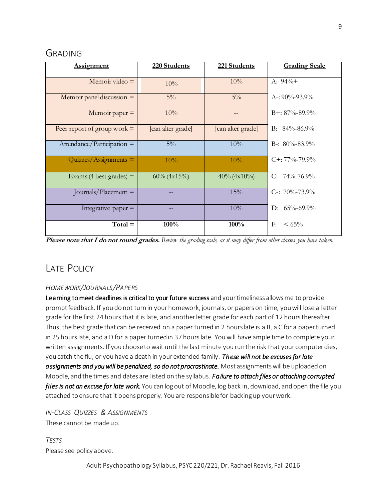## GRADING

| <b>Assignment</b>             | 220 Students      | 221 Students      | <b>Grading Scale</b> |
|-------------------------------|-------------------|-------------------|----------------------|
| Memoir video $=$              | 10%               | 10%               | A: $94\%+$           |
| Memoir panel discussion $=$   | $5\%$             | $5\%$             | A-: $90\% - 93.9\%$  |
| Memoir paper $=$              | 10%               |                   | $B+: 87\% - 89.9\%$  |
| Peer report of group work $=$ | [can alter grade] | [can alter grade] | B: $84\% - 86.9\%$   |
| Attendance/Participation $=$  | $5\%$             | 10%               | B-: $80\% - 83.9\%$  |
| $Quizzes/Assigaments =$       | 10%               | $10\%$            | $C + 77\% - 79.9\%$  |
| Exams (4 best grades) $=$     | $60\%$ (4x15%)    | $40\% (4x10\%)$   | $C: 74\% - 76.9\%$   |
| Journals/Placement $=$        |                   | 15%               | C-: $70\% - 73.9\%$  |
| Integrative paper $=$         |                   | 10%               | D: $65\% - 69.9\%$   |
| $Total =$                     | 100%              | 100%              | $< 65\%$<br>F:       |

**Please note that I do not round grades.** *Review the grading scale, as it may differ from other classes you have taken.*

## LATE POLICY

#### *HOMEWORK/JOURNALS/PAPERS*

Learning to meet deadlines is critical to your future success and your timeliness allows me to provide prompt feedback. If you do not turn in your homework, journals, or papers on time, you will lose a letter grade for the first 24 hours that it is late, and another letter grade for each part of 12 hours thereafter. Thus, the best grade that can be received on a paper turned in 2 hours late is a B, a C for a paper turned in 25 hours late, and a D for a paper turned in 37 hours late. You will have ample time to complete your written assignments. If you choose to wait until the last minute you run the risk that your computer dies, you catch the flu, or you have a death in your extended family. *These will not be excuses for late assignments and you will be penalized, so do not procrastinate.* Most assignments will be uploaded on Moodle, and the times and dates are listed on the syllabus. *Failure to attach files or attaching corrupted files is not an excuse for late work.* You can log out of Moodle, log back in, download, and open the file you attached to ensure that it opens properly. You are responsible for backing up your work.

*IN-CLASS QUIZZES & ASSIGNMENTS* These cannot be made up.

*TESTS* Please see policy above.

Adult Psychopathology Syllabus, PSYC 220/221, Dr. Rachael Reavis, Fall 2016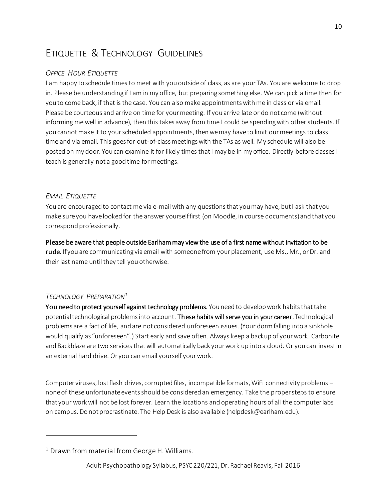## ETIQUETTE & TECHNOLOGY GUIDELINES

#### *OFFICE HOUR ETIQUETTE*

I am happy to schedule times to meet with you outside of class, as are your TAs. You are welcome to drop in. Please be understanding if I am in my office, but preparing something else. We can pick a time then for you to come back, if that is the case. You can also make appointments with me in class or via email. Please be courteous and arrive on time for your meeting. If you arrive late or do not come (without informing me well in advance), then this takes away from time I could be spending with other students. If you cannot make it to your scheduled appointments, then we may have to limit our meetings to class time and via email. This goes for out-of-class meetings with the TAs as well. My schedule will also be posted on my door. You can examine it for likely times that I may be in my office. Directly before classes I teach is generally not a good time for meetings.

#### *EMAIL ETIQUETTE*

You are encouraged to contact me via e-mail with any questions that you may have, but I ask that you make sure you have looked for the answer yourself first (on Moodle, in course documents) and that you correspond professionally.

Please be aware that people outside Earlham may view the use of a first name without invitation to be rude. If you are communicating via email with someone from your placement, use Ms., Mr., or Dr. and their last name until they tell you otherwise.

#### *TECHNOLOGY PREPARATION<sup>1</sup>*

 $\ddot{\phantom{a}}$ 

You need to protect yourself against technology problems. You need to develop work habits that take potential technological problems into account. These habits will serve you in your career. Technological problems are a fact of life, and are not considered unforeseen issues. (Your dorm falling into a sinkhole would qualify as "unforeseen".) Start early and save often. Always keep a backup of your work. Carbonite and Backblaze are two services that will automatically back your work up into a cloud. Or you can invest in an external hard drive. Or you can email yourself your work.

Computer viruses, lost flash drives, corrupted files, incompatible formats, WiFi connectivity problems – none of these unfortunate events should be considered an emergency. Take the proper steps to ensure that your work will not be lost forever. Learn the locations and operating hours of all the computer labs on campus. Do not procrastinate. The Help Desk is also available (helpdesk@earlham.edu).

 $1$  Drawn from material from George H. Williams.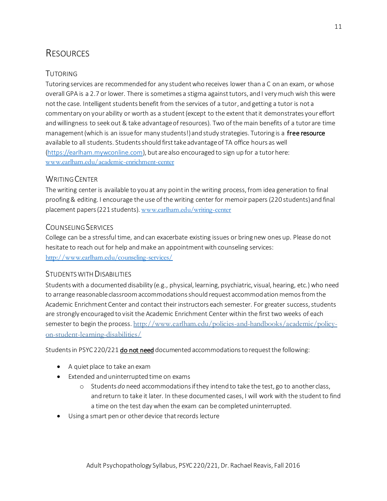## **RESOURCES**

#### TUTORING

Tutoring services are recommended for any student who receives lower than a C on an exam, or whose overall GPA is a 2.7 or lower. There is sometimes a stigma against tutors, and I very much wish this were not the case. Intelligent students benefit from the services of a tutor, and getting a tutor is not a commentary on your ability or worth as a student (except to the extent that it demonstrates your effort and willingness to seek out & take advantage of resources). Two of the main benefits of a tutor are time management (which is an issue for many students!) and study strategies. Tutoring is a free resource available to all students. Students should first take advantage of TA office hours as well [\(https://earlham.mywconline.com](https://earlham.mywconline.com/)), but are also encouraged to sign up for a tutor here: [www.earlham.edu/academic-enrichment-center](http://www.earlham.edu/academic-enrichment-center)

#### WRITING CENTER

The writing center is available to you at any point in the writing process, from idea generation to final proofing & editing. I encourage the use of the writing center for memoir papers (220 students) and final placement papers (221 students). [www.earlham.edu/writing-center](http://www.earlham.edu/writing-center)

#### COUNSELING SERVICES

College can be a stressful time, and can exacerbate existing issues or bring new ones up. Please do not hesitate to reach out for help and make an appointment with counseling services: <http://www.earlham.edu/counseling-services/>

#### STUDENTS WITH DISABILITIES

Students with a documented disability (e.g., physical, learning, psychiatric, visual, hearing, etc.) who need to arrange reasonable classroom accommodations should request accommodation memos from the Academic Enrichment Center and contact their instructors each semester. For greater success, students are strongly encouraged to visit the Academic Enrichment Center within the first two weeks of each semester to begin the process. [http://www.earlham.edu/policies-and-handbooks/academic/policy](http://www.earlham.edu/policies-and-handbooks/academic/policy-on-student-learning-disabilities/)[on-student-learning-disabilities/](http://www.earlham.edu/policies-and-handbooks/academic/policy-on-student-learning-disabilities/)

Students in PSYC 220/221 **do not need** documented accommodations to request the following:

- A quiet place to take an exam
- Extended and uninterrupted time on exams
	- o Students *do* need accommodations if they intend to take the test, go to another class, and return to take it later. In these documented cases, I will work with the student to find a time on the test day when the exam can be completed uninterrupted.
- Using a smart pen or other device that records lecture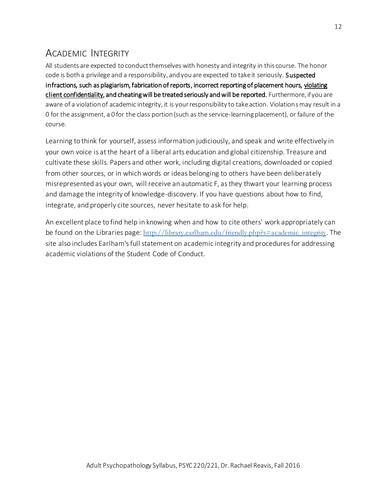## ACADEMIC INTEGRITY

All students are expected to conduct themselves with honesty and integrity in this course. The honor code is both a privilege and a responsibility, and you are expected to take it seriously. Suspected infractions, such as plagiarism, fabrication of reports, incorrect reporting of placement hours, violating client confidentiality, and cheating will be treated seriously and will be reported. Furthermore, if you are aware of a violation of academic integrity, it is your responsibility to take action. Violations may result in a 0 for the assignment, a 0 for the class portion (such as the service-learning placement), or failure of the course.

Learning to think for yourself, assess information judiciously, and speak and write effectively in your own voice is at the heart of a liberal arts education and global citizenship. Treasure and cultivate these skills. Papers and other work, including digital creations, downloaded or copied from other sources, or in which words or ideas belonging to others have been deliberately misrepresented as your own, will receive an automatic F, as they thwart your learning process and damage the integrity of knowledge-discovery. If you have questions about how to find, integrate, and properly cite sources, never hesitate to ask for help.

An excellent place to find help in knowing when and how to cite others' work appropriately can be found on the Libraries page: [http://library.earlham.edu/friendly.php?s=academic\\_integrity](http://library.earlham.edu/friendly.php?s=academic_integrity). The site also includes Earlham's full statement on academic integrity and procedures for addressing academic violations of the Student Code of Conduct.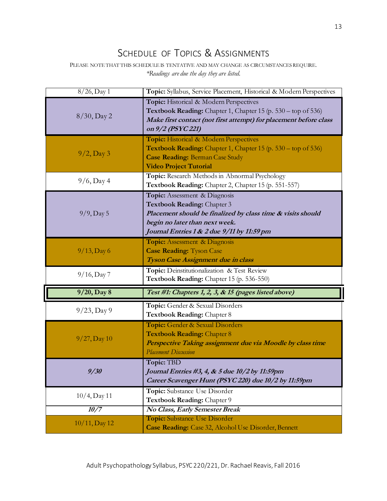## SCHEDULE OF TOPICS & ASSIGNMENTS

PLEASE NOTE THAT THIS SCHEDULE IS TENTATIVE AND MAY CHANGE AS CIRCUMSTANCES REQUIRE. *\*Readings are due the day they are listed.*

| $8/26$ , Day 1  | Topic: Syllabus, Service Placement, Historical & Modern Perspectives                                                                                                                                        |
|-----------------|-------------------------------------------------------------------------------------------------------------------------------------------------------------------------------------------------------------|
| $8/30$ , Day 2  | Topic: Historical & Modern Perspectives<br>Textbook Reading: Chapter 1, Chapter 15 (p. 530 – top of 536)<br>Make first contact (not first attempt) for placement before class<br>on 9/2 (PSYC 221)          |
| $9/2$ , Day 3   | Topic: Historical & Modern Perspectives<br><b>Textbook Reading:</b> Chapter 1, Chapter 15 (p. $530 - top$ of 536)<br><b>Case Reading: Berman Case Study</b><br><b>Video Project Tutorial</b>                |
| $9/6$ , Day 4   | Topic: Research Methods in Abnormal Psychology<br>Textbook Reading: Chapter 2, Chapter 15 (p. 551-557)                                                                                                      |
| $9/9$ , Day 5   | Topic: Assessment & Diagnosis<br>Textbook Reading: Chapter 3<br>Placement should be finalized by class time & visits should<br>begin no later than next week.<br>Journal Entries 1 & 2 due 9/11 by 11:59 pm |
| $9/13$ , Day 6  | <b>Topic:</b> Assessment & Diagnosis<br><b>Case Reading: Tyson Case</b><br>Tyson Case Assignment due in class                                                                                               |
| $9/16$ , Day 7  | Topic: Deinstitutionalization & Test Review                                                                                                                                                                 |
|                 | Textbook Reading: Chapter 15 (p. 536-550)                                                                                                                                                                   |
| 9/20, Day 8     | Test #1: Chapters 1, 2, 3, & 15 (pages listed above)                                                                                                                                                        |
| $9/23$ , Day 9  | Topic: Gender & Sexual Disorders<br>Textbook Reading: Chapter 8                                                                                                                                             |
| $9/27$ , Day 10 | Topic: Gender & Sexual Disorders<br>Textbook Reading: Chapter 8<br>Perspective Taking assignment due via Moodle by class time<br><b>Placement Discussion</b>                                                |
| 9/30            | Topic: TBD<br>Journal Entries #3, 4, & 5 due 10/2 by 11:59pm<br>Career Scavenger Hunt (PSYC 220) due 10/2 by 11:59pm                                                                                        |
| $10/4$ , Day 11 | Topic: Substance Use Disorder<br>Textbook Reading: Chapter 9                                                                                                                                                |
| 10/7            | No Class, Early Semester Break<br>Topic: Substance Use Disorder                                                                                                                                             |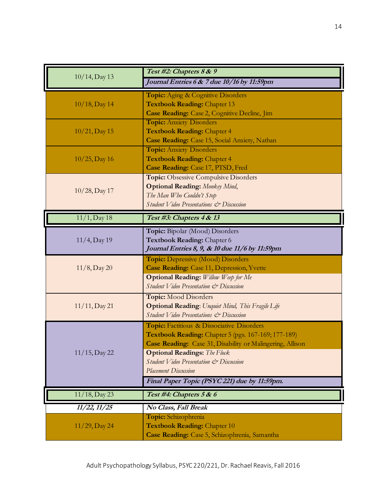|                            | Test #2: Chapters 8 & 9                                                                  |  |
|----------------------------|------------------------------------------------------------------------------------------|--|
| $10/14$ , Day 13           | Journal Entries 6 & 7 due 10/16 by 11:59pm                                               |  |
|                            | Topic: Aging & Cognitive Disorders                                                       |  |
| $10/18$ , Day 14           | <b>Textbook Reading: Chapter 13</b>                                                      |  |
|                            | Case Reading: Case 2, Cognitive Decline, Jim                                             |  |
|                            | <b>Topic:</b> Anxiety Disorders                                                          |  |
| $10/21$ , Day 15           | <b>Textbook Reading: Chapter 4</b>                                                       |  |
|                            | Case Reading: Case 15, Social Anxiety, Nathan<br><b>Topic:</b> Anxiety Disorders         |  |
| $10/25$ , Day 16           | <b>Textbook Reading: Chapter 4</b>                                                       |  |
|                            | Case Reading: Case 17, PTSD, Fred                                                        |  |
|                            | Topic: Obsessive Compulsive Disorders                                                    |  |
|                            | <b>Optional Reading:</b> Monkey Mind,                                                    |  |
| $10/28$ , Day 17           | The Man Who Couldn't Stop                                                                |  |
|                            | Student Video Presentations & Discussion                                                 |  |
| $\overline{11/1}$ , Day 18 | Test #3: Chapters 4 & 13                                                                 |  |
|                            | Topic: Bipolar (Mood) Disorders                                                          |  |
| $11/4$ , Day 19            | Textbook Reading: Chapter 6                                                              |  |
|                            | Journal Entries 8, 9, & 10 due 11/6 by 11:59pm                                           |  |
|                            | <b>Topic:</b> Depressive (Mood) Disorders                                                |  |
| $11/8$ , Day 20            | <b>Case Reading:</b> Case 11, Depression, Yvette                                         |  |
|                            | <b>Optional Reading:</b> Willow Weep for Me                                              |  |
|                            | Student Video Presentation & Discussion                                                  |  |
| $11/11$ , Day 21           | <b>Topic:</b> Mood Disorders<br><b>Optional Reading:</b> Unquiet Mind, This Fragile Life |  |
|                            | Student Video Presentations & Discussion                                                 |  |
|                            | Topic: Factitious & Dissociative Disorders                                               |  |
|                            | Textbook Reading: Chapter 5 (pgs. 167-169; 177-189)                                      |  |
|                            | Case Reading: Case 31, Disability or Malingering, Allison                                |  |
| $11/15$ , Day 22           | <b>Optional Readings:</b> The Flock                                                      |  |
|                            | Student Video Presentation & Discussion                                                  |  |
|                            | <b>Placement Discussion</b>                                                              |  |
|                            | Final Paper Topic (PSYC 221) due by 11:59pm.                                             |  |
| $11/18$ , Day 23           | Test #4: Chapters 5 & 6                                                                  |  |
| 11/22, 11/25               | No Class, Fall Break                                                                     |  |
|                            | Topic: Schizophrenia                                                                     |  |
| $11/29$ , Day 24           | Textbook Reading: Chapter 10                                                             |  |
|                            | Case Reading: Case 5, Schizophrenia, Samantha                                            |  |